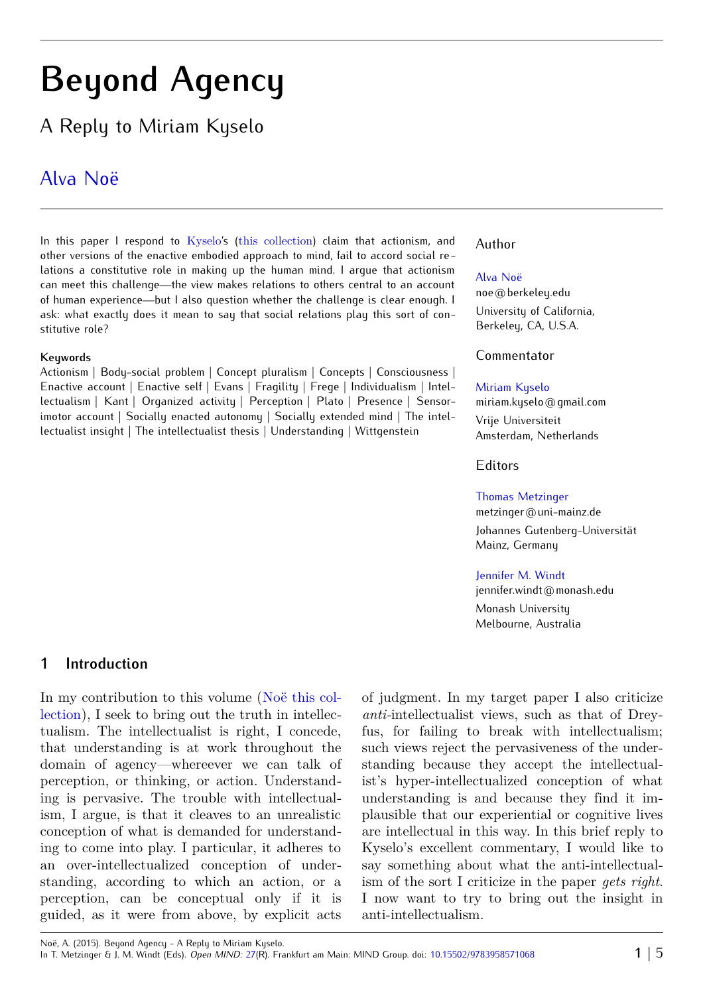# **Beyond Agency**

A Reply to Miriam Kyselo

# [Alva Noë](http://www.open-mind.net/showAuthor?author=Alva_No%C3%AB)

In this paper I respond to [Kyselo](#page-4-0)'s ([this](#page-4-0) [collection](#page-4-0)) claim that actionism, and other versions of the enactive embodied approach to mind, fail to accord social relations a constitutive role in making up the human mind. I argue that actionism can meet this challenge—the view makes relations to others central to an account of human experience—but I also question whether the challenge is clear enough. I ask: what exactly does it mean to say that social relations play this sort of constitutive role?

### **Keywords**

Actionism | Body-social problem | Concept pluralism | Concepts | Consciousness | Enactive account | Enactive self | Evans | Fragility | Frege | Individualism | Intellectualism | Kant | Organized activity | Perception | Plato | Presence | Sensorimotor account | Socially enacted autonomy | Socially extended mind | The intellectualist insight | The intellectualist thesis | Understanding | Wittgenstein

## Author

#### [Alva Noë](http://www.open-mind.net/showAuthor?author=Alva_No%C3%AB)

noe@berkeley.edu     University of California, Berkeley, CA, U.S.A.

## Commentator

#### [Miriam Kyselo](http://www.open-mind.net/showAuthor?author=Miriam_Kyselo)

miriam.kyselo@gmail.com     Vrije Universiteit Amsterdam, Netherlands

## **Editors**

## [Thomas Metzinger](http://www.open-mind.net/showAuthor?author=Thomas_Metzinger)

metzinger@uni-mainz.de     Johannes Gutenberg-Universität Mainz, Germany

#### [Jennifer M. Windt](http://www.open-mind.net/showAuthor?author=JenniferM_Windt)

jennifer.windt@monash.edu     Monash University Melbourne, Australia

## **1 Introduction**

In my contribution to this volume ([Noë](#page-4-1) [this](#page-4-1) [col](#page-4-1)[lection\)](#page-4-1), I seek to bring out the truth in intellectualism. The intellectualist is right, I concede, that understanding is at work throughout the domain of agency—whereever we can talk of perception, or thinking, or action. Understanding is pervasive. The trouble with intellectualism, I argue, is that it cleaves to an unrealistic conception of what is demanded for understanding to come into play. I particular, it adheres to an over-intellectualized conception of understanding, according to which an action, or a perception, can be conceptual only if it is guided, as it were from above, by explicit acts of judgment. In my target paper I also criticize *anti-*intellectualist views, such as that of Dreyfus, for failing to break with intellectualism; such views reject the pervasiveness of the understanding because they accept the intellectualist's hyper-intellectualized conception of what understanding is and because they find it implausible that our experiential or cognitive lives are intellectual in this way. In this brief reply to Kyselo's excellent commentary, I would like to say something about what the anti-intellectualism of the sort I criticize in the paper *gets right*. I now want to try to bring out the insight in anti-intellectualism.

Noë, A. (2015). Beyond Agency - A Reply to Miriam Kyselo.

In T. Metzinger & J. M. Windt (Eds). *Open MIND:* [27\(](http://www.open-mind.net/collection.pdf#nameddest=beyond-agency2014a-reply-to-kyselo)R). Frankfurt am Main: MIND Group. doi: [10.15502/9783958571068](http://dx.doi.org/10.15502/9783958571068) **1** | 5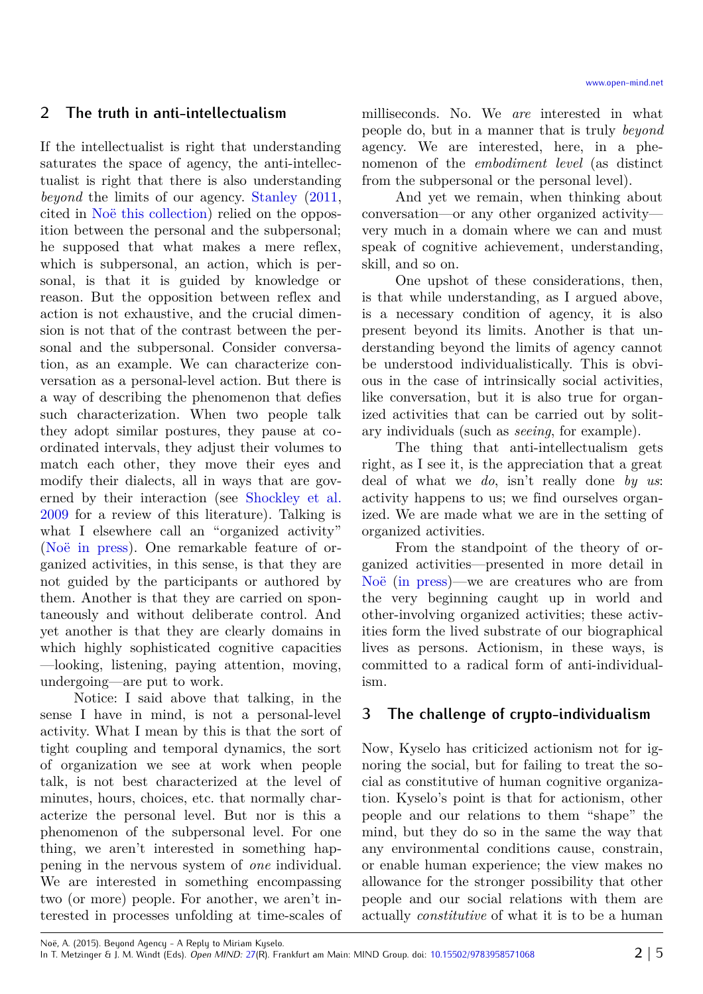# **2 The truth in anti-intellectualism**

If the intellectualist is right that understanding saturates the space of agency, the anti-intellectualist is right that there is also understanding *beyond* the limits of our agency. [Stanley \(2011,](#page-4-4) cited in [Noë](#page-4-1) [this](#page-4-1) [collection\)](#page-4-1) relied on the opposition between the personal and the subpersonal; he supposed that what makes a mere reflex, which is subpersonal, an action, which is personal, is that it is guided by knowledge or reason. But the opposition between reflex and action is not exhaustive, and the crucial dimension is not that of the contrast between the personal and the subpersonal. Consider conversation, as an example. We can characterize conversation as a personal-level action. But there is a way of describing the phenomenon that defies such characterization. When two people talk they adopt similar postures, they pause at coordinated intervals, they adjust their volumes to match each other, they move their eyes and modify their dialects, all in ways that are governed by their interaction (see [Shockley et al.](#page-4-3) [2009](#page-4-3) for a review of this literature). Talking is what I elsewhere call an "organized activity" [\(Noë](#page-4-2) [in](#page-4-2) [press\)](#page-4-2). One remarkable feature of organized activities, in this sense, is that they are not guided by the participants or authored by them. Another is that they are carried on spontaneously and without deliberate control. And yet another is that they are clearly domains in which highly sophisticated cognitive capacities —looking, listening, paying attention, moving, undergoing—are put to work.

Notice: I said above that talking, in the sense I have in mind, is not a personal-level activity. What I mean by this is that the sort of tight coupling and temporal dynamics, the sort of organization we see at work when people talk, is not best characterized at the level of minutes, hours, choices, etc. that normally characterize the personal level. But nor is this a phenomenon of the subpersonal level. For one thing, we aren't interested in something happening in the nervous system of *one* individual. We are interested in something encompassing two (or more) people. For another, we aren't interested in processes unfolding at time-scales of milliseconds. No. We *are* interested in what people do, but in a manner that is truly *beyond* agency. We are interested, here, in a phenomenon of the *embodiment level* (as distinct from the subpersonal or the personal level).

And yet we remain, when thinking about conversation—or any other organized activity very much in a domain where we can and must speak of cognitive achievement, understanding, skill, and so on.

One upshot of these considerations, then, is that while understanding, as I argued above, is a necessary condition of agency, it is also present beyond its limits. Another is that understanding beyond the limits of agency cannot be understood individualistically. This is obvious in the case of intrinsically social activities, like conversation, but it is also true for organized activities that can be carried out by solitary individuals (such as *seeing*, for example).

The thing that anti-intellectualism gets right, as I see it, is the appreciation that a great deal of what we *do*, isn't really done *by us*: activity happens to us; we find ourselves organized. We are made what we are in the setting of organized activities.

From the standpoint of the theory of organized activities—presented in more detail in [Noë \(in](#page-4-2) [press\)](#page-4-2)—we are creatures who are from the very beginning caught up in world and other-involving organized activities; these activities form the lived substrate of our biographical lives as persons. Actionism, in these ways, is committed to a radical form of anti-individualism.

# **3 The challenge of crypto-individualism**

Now, Kyselo has criticized actionism not for ignoring the social, but for failing to treat the social as constitutive of human cognitive organization. Kyselo's point is that for actionism, other people and our relations to them "shape" the mind, but they do so in the same the way that any environmental conditions cause, constrain, or enable human experience; the view makes no allowance for the stronger possibility that other people and our social relations with them are actually *constitutive* of what it is to be a human

Noë, A. (2015). Beyond Agency - A Reply to Miriam Kyselo.

In T. Metzinger & J. M. Windt (Eds). *Open MIND:* [27\(](http://www.open-mind.net/collection.pdf#nameddest=beyond-agency2014a-reply-to-kyselo)R). Frankfurt am Main: MIND Group. doi: [10.15502/9783958571068](http://dx.doi.org/10.15502/9783958571068) **2** | 5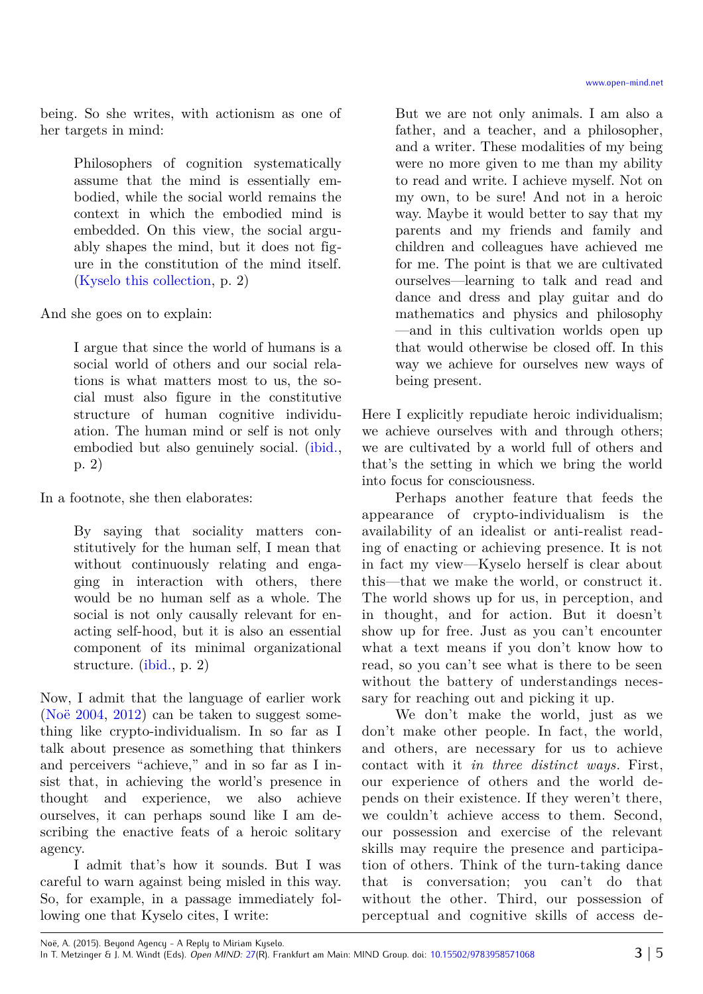being. So she writes, with actionism as one of her targets in mind:

> Philosophers of cognition systematically assume that the mind is essentially embodied, while the social world remains the context in which the embodied mind is embedded. On this view, the social arguably shapes the mind, but it does not figure in the constitution of the mind itself. [\(Kyselo](#page-4-0) [this](#page-4-0) [collection,](#page-4-0) p. 2)

And she goes on to explain:

I argue that since the world of humans is a social world of others and our social relations is what matters most to us, the social must also figure in the constitutive structure of human cognitive individuation. The human mind or self is not only embodied but also genuinely social. [\(ibid.,](#page-4-0) p. 2)

In a footnote, she then elaborates:

By saying that sociality matters constitutively for the human self, I mean that without continuously relating and engaging in interaction with others, there would be no human self as a whole. The social is not only causally relevant for enacting self-hood, but it is also an essential component of its minimal organizational structure. [\(ibid.,](#page-4-0) p. 2)

Now, I admit that the language of earlier work [\(Noë](#page-4-6) [2004,](#page-4-6) [2012\)](#page-4-5) can be taken to suggest something like crypto-individualism. In so far as I talk about presence as something that thinkers and perceivers "achieve," and in so far as I insist that, in achieving the world's presence in thought and experience, we also achieve ourselves, it can perhaps sound like I am describing the enactive feats of a heroic solitary agency.

I admit that's how it sounds. But I was careful to warn against being misled in this way. So, for example, in a passage immediately following one that Kyselo cites, I write:

But we are not only animals. I am also a father, and a teacher, and a philosopher, and a writer. These modalities of my being were no more given to me than my ability to read and write. I achieve myself. Not on my own, to be sure! And not in a heroic way. Maybe it would better to say that my parents and my friends and family and children and colleagues have achieved me for me. The point is that we are cultivated ourselves—learning to talk and read and dance and dress and play guitar and do mathematics and physics and philosophy —and in this cultivation worlds open up that would otherwise be closed off. In this way we achieve for ourselves new ways of being present.

Here I explicitly repudiate heroic individualism; we achieve ourselves with and through others; we are cultivated by a world full of others and that's the setting in which we bring the world into focus for consciousness.

Perhaps another feature that feeds the appearance of crypto-individualism is the availability of an idealist or anti-realist reading of enacting or achieving presence. It is not in fact my view—Kyselo herself is clear about this—that we make the world, or construct it. The world shows up for us, in perception, and in thought, and for action. But it doesn't show up for free. Just as you can't encounter what a text means if you don't know how to read, so you can't see what is there to be seen without the battery of understandings necessary for reaching out and picking it up.

We don't make the world, just as we don't make other people. In fact, the world, and others, are necessary for us to achieve contact with it *in three distinct ways*. First, our experience of others and the world depends on their existence. If they weren't there, we couldn't achieve access to them. Second, our possession and exercise of the relevant skills may require the presence and participation of others. Think of the turn-taking dance that is conversation; you can't do that without the other. Third, our possession of perceptual and cognitive skills of access de-

Noë, A. (2015). Beyond Agency - A Reply to Miriam Kyselo.

In T. Metzinger & J. M. Windt (Eds). *Open MIND:* [27\(](http://www.open-mind.net/collection.pdf#nameddest=beyond-agency2014a-reply-to-kyselo)R). Frankfurt am Main: MIND Group. doi: [10.15502/9783958571068](http://dx.doi.org/10.15502/9783958571068) **3** | 5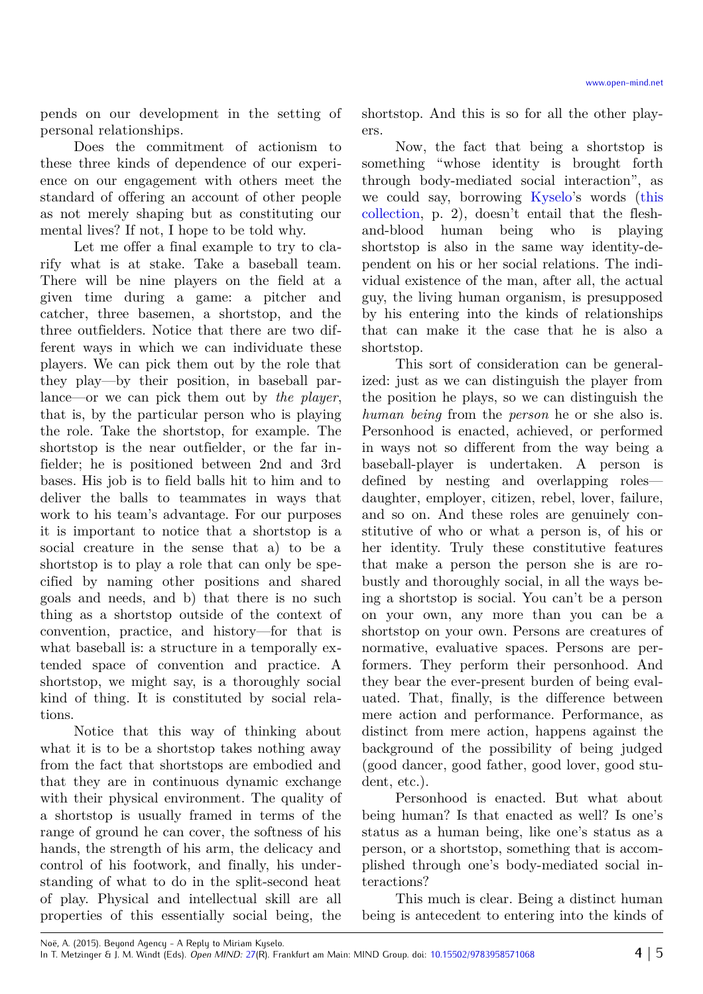pends on our development in the setting of personal relationships.

Does the commitment of actionism to these three kinds of dependence of our experience on our engagement with others meet the standard of offering an account of other people as not merely shaping but as constituting our mental lives? If not, I hope to be told why.

Let me offer a final example to try to clarify what is at stake. Take a baseball team. There will be nine players on the field at a given time during a game: a pitcher and catcher, three basemen, a shortstop, and the three outfielders. Notice that there are two different ways in which we can individuate these players. We can pick them out by the role that they play—by their position, in baseball parlance—or we can pick them out by *the player*, that is, by the particular person who is playing the role. Take the shortstop, for example. The shortstop is the near outfielder, or the far infielder; he is positioned between 2nd and 3rd bases. His job is to field balls hit to him and to deliver the balls to teammates in ways that work to his team's advantage. For our purposes it is important to notice that a shortstop is a social creature in the sense that a) to be a shortstop is to play a role that can only be specified by naming other positions and shared goals and needs, and b) that there is no such thing as a shortstop outside of the context of convention, practice, and history—for that is what baseball is: a structure in a temporally extended space of convention and practice. A shortstop, we might say, is a thoroughly social kind of thing. It is constituted by social relations.

Notice that this way of thinking about what it is to be a shortstop takes nothing away from the fact that shortstops are embodied and that they are in continuous dynamic exchange with their physical environment. The quality of a shortstop is usually framed in terms of the range of ground he can cover, the softness of his hands, the strength of his arm, the delicacy and control of his footwork, and finally, his understanding of what to do in the split-second heat of play. Physical and intellectual skill are all properties of this essentially social being, the shortstop. And this is so for all the other players.

Now, the fact that being a shortstop is something "whose identity is brought forth through body-mediated social interaction", as we could say, borrowing [Kyselo'](#page-4-0)s words [\(this](#page-4-0) [collection,](#page-4-0) p. 2), doesn't entail that the fleshand-blood human being who is playing shortstop is also in the same way identity-dependent on his or her social relations. The individual existence of the man, after all, the actual guy, the living human organism, is presupposed by his entering into the kinds of relationships that can make it the case that he is also a shortstop.

This sort of consideration can be generalized: just as we can distinguish the player from the position he plays, so we can distinguish the *human being* from the *person* he or she also is. Personhood is enacted, achieved, or performed in ways not so different from the way being a baseball-player is undertaken. A person is defined by nesting and overlapping roles daughter, employer, citizen, rebel, lover, failure, and so on. And these roles are genuinely constitutive of who or what a person is, of his or her identity. Truly these constitutive features that make a person the person she is are robustly and thoroughly social, in all the ways being a shortstop is social. You can't be a person on your own, any more than you can be a shortstop on your own. Persons are creatures of normative, evaluative spaces. Persons are performers. They perform their personhood. And they bear the ever-present burden of being evaluated. That, finally, is the difference between mere action and performance. Performance, as distinct from mere action, happens against the background of the possibility of being judged (good dancer, good father, good lover, good student, etc.).

Personhood is enacted. But what about being human? Is that enacted as well? Is one's status as a human being, like one's status as a person, or a shortstop, something that is accomplished through one's body-mediated social interactions?

This much is clear. Being a distinct human being is antecedent to entering into the kinds of

In T. Metzinger & J. M. Windt (Eds). *Open MIND:* [27\(](http://www.open-mind.net/collection.pdf#nameddest=beyond-agency2014a-reply-to-kyselo)R). Frankfurt am Main: MIND Group. doi: [10.15502/9783958571068](http://dx.doi.org/10.15502/9783958571068) **4** | 5